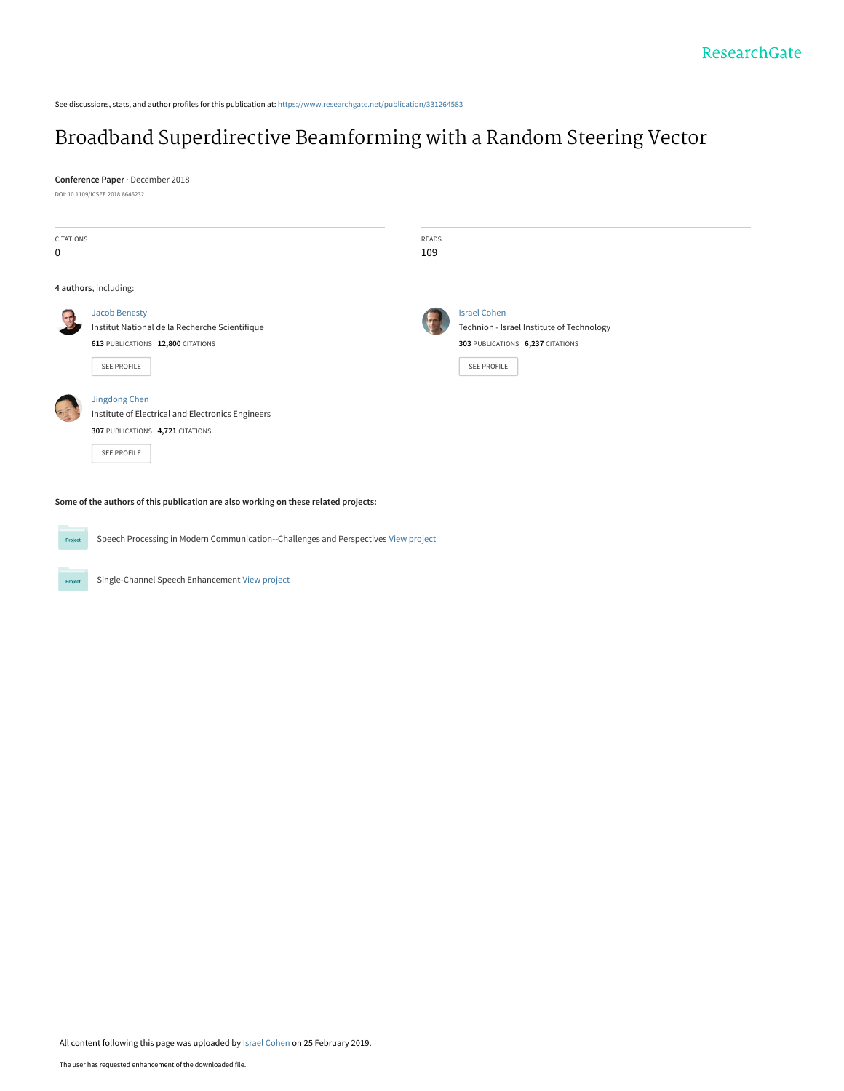See discussions, stats, and author profiles for this publication at: [https://www.researchgate.net/publication/331264583](https://www.researchgate.net/publication/331264583_Broadband_Superdirective_Beamforming_with_a_Random_Steering_Vector?enrichId=rgreq-2c234b12cce49552e7246402607ce31f-XXX&enrichSource=Y292ZXJQYWdlOzMzMTI2NDU4MztBUzo3MzAxNDQ3NTQ5MTMyODZAMTU1MTA5MTQ4MzY4MA%3D%3D&el=1_x_2&_esc=publicationCoverPdf)

# [Broadband Superdirective Beamforming with a Random Steering Vector](https://www.researchgate.net/publication/331264583_Broadband_Superdirective_Beamforming_with_a_Random_Steering_Vector?enrichId=rgreq-2c234b12cce49552e7246402607ce31f-XXX&enrichSource=Y292ZXJQYWdlOzMzMTI2NDU4MztBUzo3MzAxNDQ3NTQ5MTMyODZAMTU1MTA5MTQ4MzY4MA%3D%3D&el=1_x_3&_esc=publicationCoverPdf)

**Conference Paper** · December 2018

DOI: 10.1109/ICSEE.2018.8646232

Project

| <b>CITATIONS</b> |                                                   | READS |                                           |  |
|------------------|---------------------------------------------------|-------|-------------------------------------------|--|
| 0                |                                                   | 109   |                                           |  |
|                  | 4 authors, including:                             |       |                                           |  |
|                  | <b>Jacob Benesty</b>                              |       | <b>Israel Cohen</b>                       |  |
|                  | Institut National de la Recherche Scientifique    |       | Technion - Israel Institute of Technology |  |
|                  | 613 PUBLICATIONS 12,800 CITATIONS                 |       | 303 PUBLICATIONS 6,237 CITATIONS          |  |
|                  | SEE PROFILE                                       |       | <b>SEE PROFILE</b>                        |  |
|                  | Jingdong Chen                                     |       |                                           |  |
|                  | Institute of Electrical and Electronics Engineers |       |                                           |  |
|                  | 307 PUBLICATIONS 4,721 CITATIONS                  |       |                                           |  |
|                  | SEE PROFILE                                       |       |                                           |  |
|                  |                                                   |       |                                           |  |

**Some of the authors of this publication are also working on these related projects:**

Speech Processing in Modern Communication--Challenges and Perspectives [View project](https://www.researchgate.net/project/Speech-Processing-in-Modern-Communication--Challenges-and-Perspectives?enrichId=rgreq-2c234b12cce49552e7246402607ce31f-XXX&enrichSource=Y292ZXJQYWdlOzMzMTI2NDU4MztBUzo3MzAxNDQ3NTQ5MTMyODZAMTU1MTA5MTQ4MzY4MA%3D%3D&el=1_x_9&_esc=publicationCoverPdf) Project

Single-Channel Speech Enhancement [View project](https://www.researchgate.net/project/Single-Channel-Speech-Enhancement?enrichId=rgreq-2c234b12cce49552e7246402607ce31f-XXX&enrichSource=Y292ZXJQYWdlOzMzMTI2NDU4MztBUzo3MzAxNDQ3NTQ5MTMyODZAMTU1MTA5MTQ4MzY4MA%3D%3D&el=1_x_9&_esc=publicationCoverPdf)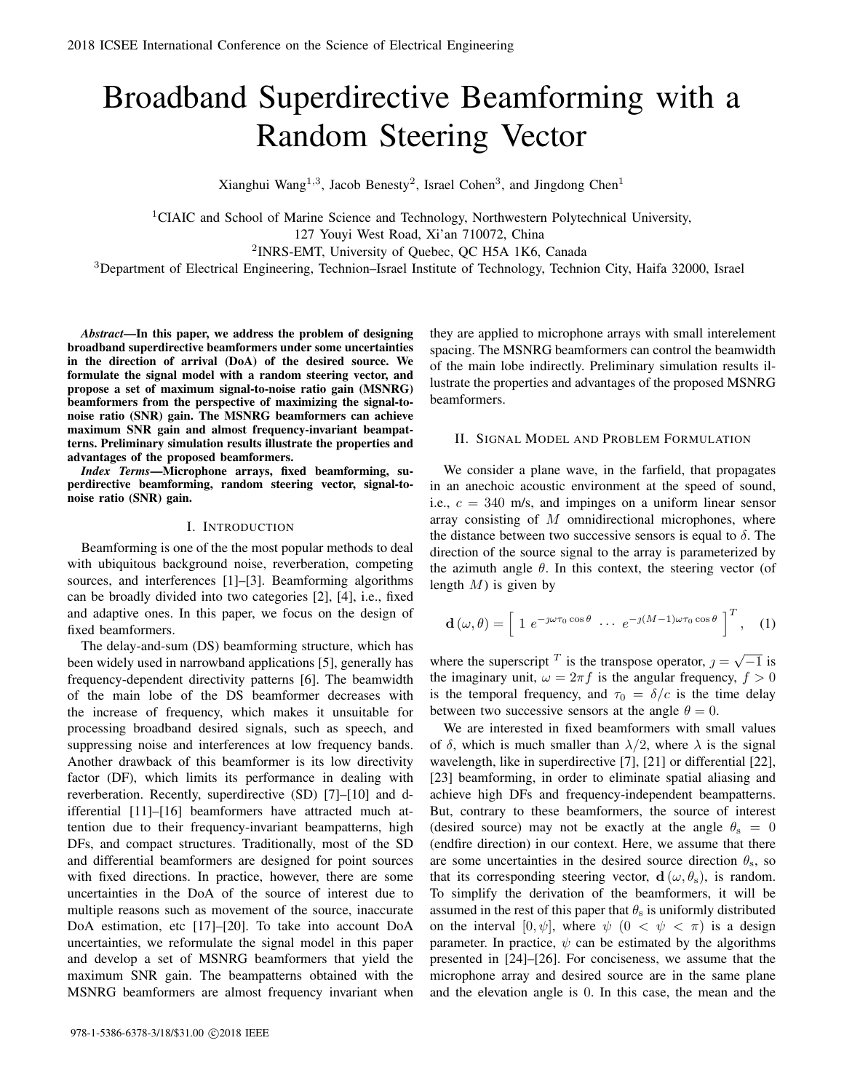# Broadband Superdirective Beamforming with a Random Steering Vector

Xianghui Wang<sup>1,3</sup>, Jacob Benesty<sup>2</sup>, Israel Cohen<sup>3</sup>, and Jingdong Chen<sup>1</sup>

<sup>1</sup>CIAIC and School of Marine Science and Technology, Northwestern Polytechnical University, 127 Youyi West Road, Xi'an 710072, China <sup>2</sup>INRS-EMT, University of Quebec, QC H5A 1K6, Canada

<sup>3</sup>Department of Electrical Engineering, Technion–Israel Institute of Technology, Technion City, Haifa 32000, Israel

*Abstract*—In this paper, we address the problem of designing broadband superdirective beamformers under some uncertainties in the direction of arrival (DoA) of the desired source. We formulate the signal model with a random steering vector, and propose a set of maximum signal-to-noise ratio gain (MSNRG) beamformers from the perspective of maximizing the signal-tonoise ratio (SNR) gain. The MSNRG beamformers can achieve maximum SNR gain and almost frequency-invariant beampatterns. Preliminary simulation results illustrate the properties and advantages of the proposed beamformers.

*Index Terms*—Microphone arrays, fixed beamforming, superdirective beamforming, random steering vector, signal-tonoise ratio (SNR) gain.

### I. INTRODUCTION

Beamforming is one of the the most popular methods to deal with ubiquitous background noise, reverberation, competing sources, and interferences [1]–[3]. Beamforming algorithms can be broadly divided into two categories [2], [4], i.e., fixed and adaptive ones. In this paper, we focus on the design of fixed beamformers.

The delay-and-sum (DS) beamforming structure, which has been widely used in narrowband applications [5], generally has frequency-dependent directivity patterns [6]. The beamwidth of the main lobe of the DS beamformer decreases with the increase of frequency, which makes it unsuitable for processing broadband desired signals, such as speech, and suppressing noise and interferences at low frequency bands. Another drawback of this beamformer is its low directivity factor (DF), which limits its performance in dealing with reverberation. Recently, superdirective (SD) [7]–[10] and differential [11]–[16] beamformers have attracted much attention due to their frequency-invariant beampatterns, high DFs, and compact structures. Traditionally, most of the SD and differential beamformers are designed for point sources with fixed directions. In practice, however, there are some uncertainties in the DoA of the source of interest due to multiple reasons such as movement of the source, inaccurate DoA estimation, etc [17]–[20]. To take into account DoA uncertainties, we reformulate the signal model in this paper and develop a set of MSNRG beamformers that yield the maximum SNR gain. The beampatterns obtained with the MSNRG beamformers are almost frequency invariant when

they are applied to microphone arrays with small interelement spacing. The MSNRG beamformers can control the beamwidth of the main lobe indirectly. Preliminary simulation results illustrate the properties and advantages of the proposed MSNRG beamformers.

#### II. SIGNAL MODEL AND PROBLEM FORMULATION

We consider a plane wave, in the farfield, that propagates in an anechoic acoustic environment at the speed of sound, i.e., *c* = 340 m/s, and impinges on a uniform linear sensor array consisting of *M* omnidirectional microphones, where the distance between two successive sensors is equal to  $\delta$ . The direction of the source signal to the array is parameterized by the azimuth angle  $\theta$ . In this context, the steering vector (of length *M*) is given by

$$
\mathbf{d}\left(\omega,\theta\right) = \left[1 \ e^{-\jmath\omega\tau_0\cos\theta} \ \cdots \ e^{-\jmath\left(M-1\right)\omega\tau_0\cos\theta}\right]^T, \quad (1)
$$

where the superscript <sup>*T*</sup> is the transpose operator,  $j = \sqrt{-1}$  is the imaginary unit,  $\omega = 2\pi f$  is the angular frequency,  $f > 0$ is the temporal frequency, and  $\tau_0 = \delta/c$  is the time delay between two successive sensors at the angle  $\theta = 0$ .

We are interested in fixed beamformers with small values of  $\delta$ , which is much smaller than  $\lambda/2$ , where  $\lambda$  is the signal wavelength, like in superdirective [7], [21] or differential [22], [23] beamforming, in order to eliminate spatial aliasing and achieve high DFs and frequency-independent beampatterns. But, contrary to these beamformers, the source of interest (desired source) may not be exactly at the angle  $\theta_s = 0$ (endfire direction) in our context. Here, we assume that there are some uncertainties in the desired source direction  $\theta_s$ , so that its corresponding steering vector,  $\mathbf{d}(\omega, \theta_s)$ , is random. To simplify the derivation of the beamformers, it will be assumed in the rest of this paper that  $\theta_s$  is uniformly distributed on the interval  $[0, \psi]$ , where  $\psi$   $(0 < \psi < \pi)$  is a design parameter. In practice,  $\psi$  can be estimated by the algorithms presented in [24]–[26]. For conciseness, we assume that the microphone array and desired source are in the same plane and the elevation angle is 0. In this case, the mean and the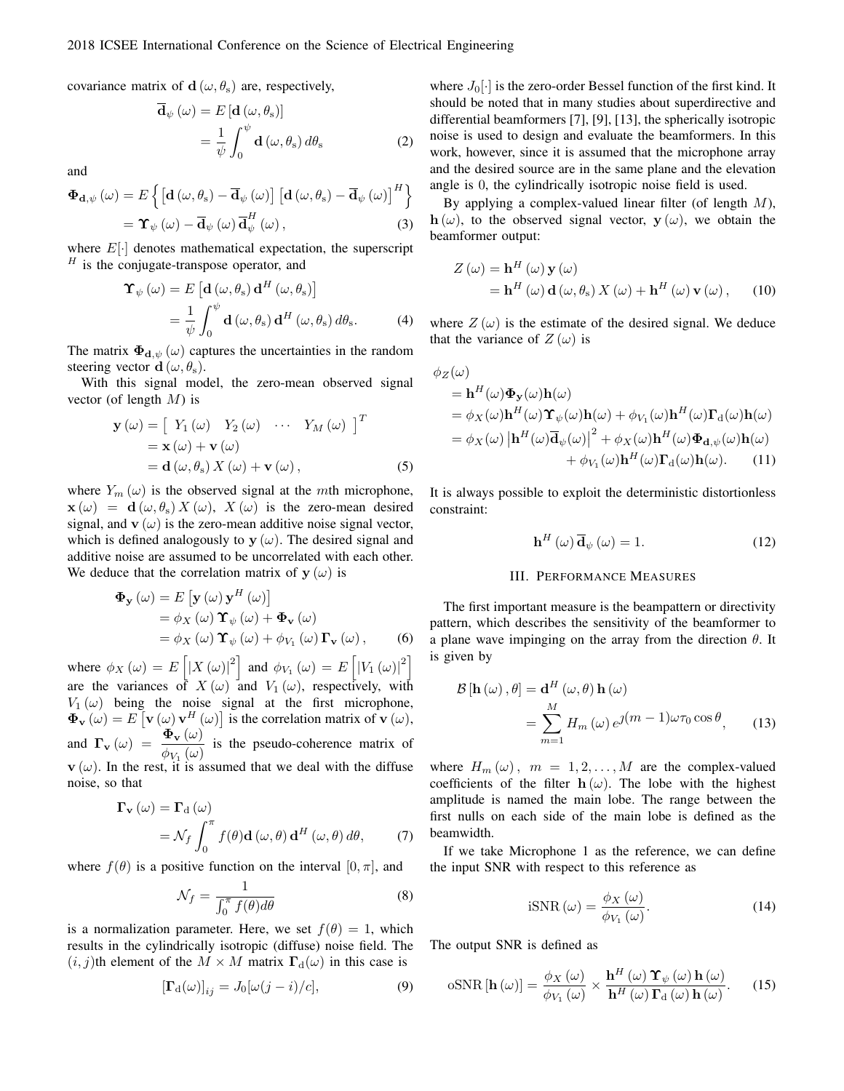covariance matrix of  $d$  ( $\omega$ ,  $\theta_s$ ) are, respectively,

$$
\overline{\mathbf{d}}_{\psi}(\omega) = E[\mathbf{d}(\omega, \theta_{\mathrm{s}})]
$$

$$
= \frac{1}{\psi} \int_{0}^{\psi} \mathbf{d}(\omega, \theta_{\mathrm{s}}) d\theta_{\mathrm{s}}
$$
(2)

and

$$
\begin{split} \mathbf{\Phi}_{\mathbf{d},\psi} \left( \omega \right) &= E \left\{ \left[ \mathbf{d} \left( \omega, \theta_{\rm s} \right) - \overline{\mathbf{d}}_{\psi} \left( \omega \right) \right] \left[ \mathbf{d} \left( \omega, \theta_{\rm s} \right) - \overline{\mathbf{d}}_{\psi} \left( \omega \right) \right]^{H} \right\} \\ &= \mathbf{\Upsilon}_{\psi} \left( \omega \right) - \overline{\mathbf{d}}_{\psi} \left( \omega \right) \overline{\mathbf{d}}_{\psi}^{H} \left( \omega \right), \end{split} \tag{3}
$$

where  $E[\cdot]$  denotes mathematical expectation, the superscript *<sup>H</sup>* is the conjugate-transpose operator, and

$$
\mathbf{\hat{T}}_{\psi}(\omega) = E\left[\mathbf{d}(\omega, \theta_{s}) \mathbf{d}^{H}(\omega, \theta_{s})\right]
$$

$$
= \frac{1}{\psi} \int_{0}^{\psi} \mathbf{d}(\omega, \theta_{s}) \mathbf{d}^{H}(\omega, \theta_{s}) d\theta_{s}.
$$
(4)

The matrix  $\Phi_{d,\psi}(\omega)$  captures the uncertainties in the random steering vector **d**  $(\omega, \theta_s)$ .

With this signal model, the zero-mean observed signal vector (of length *M*) is

$$
\mathbf{y}(\omega) = \begin{bmatrix} Y_1(\omega) & Y_2(\omega) & \cdots & Y_M(\omega) \end{bmatrix}^T
$$
  
=  $\mathbf{x}(\omega) + \mathbf{v}(\omega)$   
=  $\mathbf{d}(\omega, \theta_s) X(\omega) + \mathbf{v}(\omega)$ , (5)

 $\overline{f}$ 

where  $Y_m(\omega)$  is the observed signal at the *m*th microphone, **x** ( $\omega$ ) = **d** ( $\omega$ ,  $\theta$ <sub>s</sub>) *X* ( $\omega$ ), *X* ( $\omega$ ) is the zero-mean desired signal, and  $\mathbf{v}(\omega)$  is the zero-mean additive noise signal vector, which is defined analogously to **y**  $(\omega)$ . The desired signal and additive noise are assumed to be uncorrelated with each other. We deduce that the correlation matrix of  $y(\omega)$  is

$$
\begin{aligned} \mathbf{\Phi}_{\mathbf{y}}\left(\omega\right) &= E\left[\mathbf{y}\left(\omega\right)\mathbf{y}^{H}\left(\omega\right)\right] \\ &= \phi_{X}\left(\omega\right)\mathbf{\Upsilon}_{\psi}\left(\omega\right) + \mathbf{\Phi}_{\mathbf{v}}\left(\omega\right) \\ &= \phi_{X}\left(\omega\right)\mathbf{\Upsilon}_{\psi}\left(\omega\right) + \phi_{V_{1}}\left(\omega\right)\mathbf{\Gamma}_{\mathbf{v}}\left(\omega\right), \end{aligned} \tag{6}
$$

where  $\phi_X(\omega) = E\left[|X(\omega)|^2\right]$  and  $\phi_{V_1}(\omega) = E\left[|V_1(\omega)|^2\right]$ ] are the variances of  $X(\omega)$  and  $V_1(\omega)$ , respectively, with  $V_1(\omega)$  being the noise signal at the first microphone,  $\Phi_{\mathbf{v}}(\omega) = E[\mathbf{v}(\omega) \mathbf{v}^H(\omega)]$  is the correlation matrix of  $\mathbf{v}(\omega)$ , and  $\mathbf{\Gamma}_{\mathbf{v}} (\omega) = \frac{\Phi_{\mathbf{v}} (\omega)}{\phi_{V_1} (\omega)}$  is the pseudo-coherence matrix of  $\mathbf{v}(\omega)$ . In the rest, it is assumed that we deal with the diffuse noise, so that

$$
\mathbf{\Gamma}_{\mathbf{v}}\left(\omega\right) = \mathbf{\Gamma}_{\mathbf{d}}\left(\omega\right)
$$

$$
= \mathcal{N}_{f} \int_{0}^{\pi} f(\theta) \mathbf{d}\left(\omega, \theta\right) \mathbf{d}^{H}\left(\omega, \theta\right) d\theta, \tag{7}
$$

where  $f(\theta)$  is a positive function on the interval  $[0, \pi]$ , and

$$
\mathcal{N}_f = \frac{1}{\int_0^{\pi} f(\theta) d\theta} \tag{8}
$$

is a normalization parameter. Here, we set  $f(\theta) = 1$ , which results in the cylindrically isotropic (diffuse) noise field. The  $(i, j)$ th element of the  $M \times M$  matrix  $\Gamma_d(\omega)$  in this case is

$$
[\mathbf{\Gamma}_{\mathbf{d}}(\omega)]_{ij} = J_0[\omega(j-i)/c],\tag{9}
$$

where  $J_0[\cdot]$  is the zero-order Bessel function of the first kind. It should be noted that in many studies about superdirective and differential beamformers [7], [9], [13], the spherically isotropic noise is used to design and evaluate the beamformers. In this work, however, since it is assumed that the microphone array and the desired source are in the same plane and the elevation angle is 0, the cylindrically isotropic noise field is used.

By applying a complex-valued linear filter (of length *M*), **h** ( $\omega$ ), to the observed signal vector, **y** ( $\omega$ ), we obtain the beamformer output:

$$
Z(\omega) = \mathbf{h}^{H}(\omega) \mathbf{y}(\omega)
$$
  
=  $\mathbf{h}^{H}(\omega) \mathbf{d}(\omega, \theta_{s}) X(\omega) + \mathbf{h}^{H}(\omega) \mathbf{v}(\omega),$  (10)

where  $Z(\omega)$  is the estimate of the desired signal. We deduce that the variance of  $Z(\omega)$  is

$$
\phi_Z(\omega)
$$
\n=  $\mathbf{h}^H(\omega)\mathbf{\Phi}_\mathbf{y}(\omega)\mathbf{h}(\omega)$   
\n=  $\phi_X(\omega)\mathbf{h}^H(\omega)\mathbf{\Upsilon}_{\psi}(\omega)\mathbf{h}(\omega) + \phi_{V_1}(\omega)\mathbf{h}^H(\omega)\mathbf{\Upsilon}_{\mathrm{d}}(\omega)\mathbf{h}(\omega)$   
\n=  $\phi_X(\omega) |\mathbf{h}^H(\omega)\overline{\mathbf{d}}_{\psi}(\omega)|^2 + \phi_X(\omega)\mathbf{h}^H(\omega)\mathbf{\Phi}_{\mathrm{d},\psi}(\omega)\mathbf{h}(\omega) + \phi_{V_1}(\omega)\mathbf{h}^H(\omega)\mathbf{\Gamma}_{\mathrm{d}}(\omega)\mathbf{h}(\omega).$  (11)

It is always possible to exploit the deterministic distortionless constraint:

$$
\mathbf{h}^{H}(\omega)\overline{\mathbf{d}}_{\psi}(\omega) = 1.
$$
 (12)

## III. PERFORMANCE MEASURES

The first important measure is the beampattern or directivity pattern, which describes the sensitivity of the beamformer to a plane wave impinging on the array from the direction *θ*. It is given by

$$
\mathcal{B}[\mathbf{h}(\omega), \theta] = \mathbf{d}^H(\omega, \theta) \mathbf{h}(\omega)
$$
  
= 
$$
\sum_{m=1}^M H_m(\omega) e^{j(m-1)\omega \tau_0 \cos \theta}, \qquad (13)
$$

where  $H_m(\omega)$ ,  $m = 1, 2, \dots, M$  are the complex-valued coefficients of the filter  $h(\omega)$ . The lobe with the highest amplitude is named the main lobe. The range between the first nulls on each side of the main lobe is defined as the beamwidth.

If we take Microphone 1 as the reference, we can define the input SNR with respect to this reference as

$$
iSNR\left(\omega\right) = \frac{\phi_X\left(\omega\right)}{\phi_{V_1}\left(\omega\right)}.\tag{14}
$$

The output SNR is defined as

$$
\text{oSNR}[\mathbf{h}(\omega)] = \frac{\phi_X(\omega)}{\phi_{V_1}(\omega)} \times \frac{\mathbf{h}^H(\omega) \Upsilon_{\psi}(\omega) \mathbf{h}(\omega)}{\mathbf{h}^H(\omega) \Gamma_{\mathbf{d}}(\omega) \mathbf{h}(\omega)}.
$$
 (15)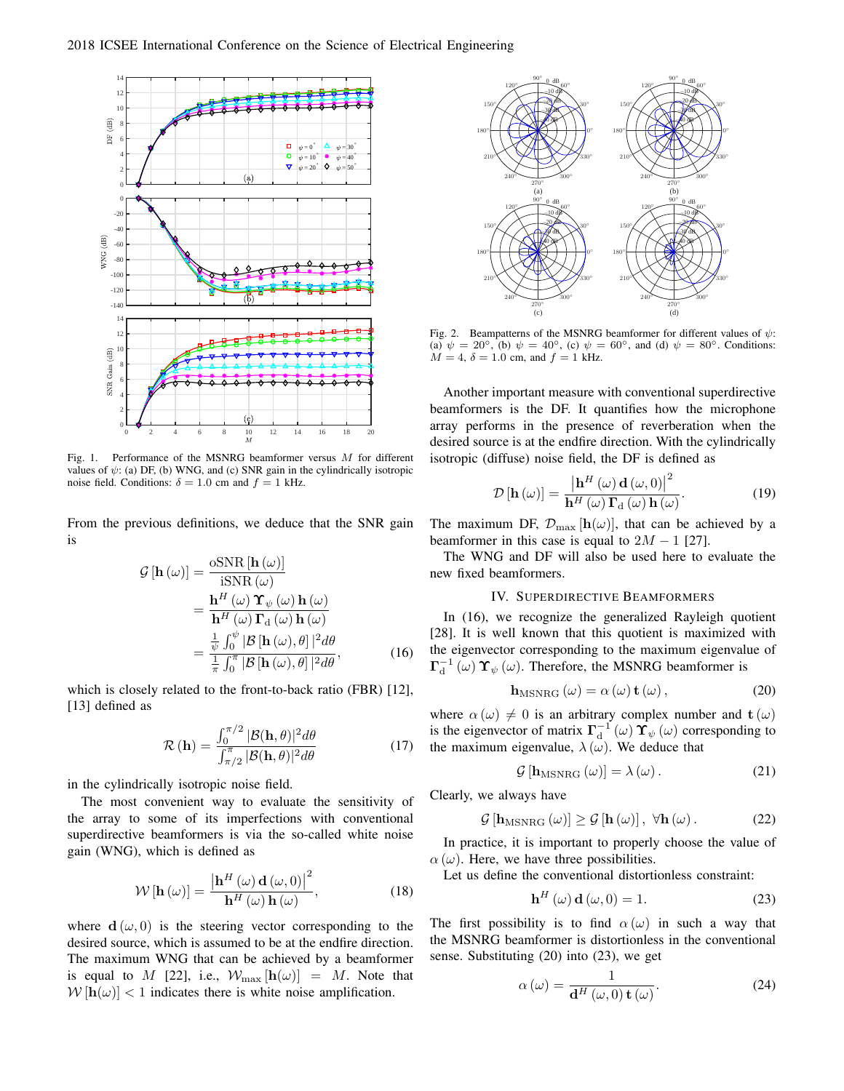

Fig. 1. Performance of the MSNRG beamformer versus *M* for different values of  $\psi$ : (a) DF, (b) WNG, and (c) SNR gain in the cylindrically isotropic noise field. Conditions:  $\delta = 1.0$  cm and  $f = 1$  kHz.

From the previous definitions, we deduce that the SNR gain is

$$
\mathcal{G}[\mathbf{h}(\omega)] = \frac{\text{oSNR}[\mathbf{h}(\omega)]}{\text{iSNR}(\omega)} \n= \frac{\mathbf{h}^H(\omega) \mathbf{\Upsilon}_{\psi}(\omega) \mathbf{h}(\omega)}{\mathbf{h}^H(\omega) \mathbf{\Gamma}_{\mathbf{d}}(\omega) \mathbf{h}(\omega)} \n= \frac{\frac{1}{\psi} \int_0^{\psi} |\mathcal{B}[\mathbf{h}(\omega), \theta]|^2 d\theta}{\frac{1}{\pi} \int_0^{\pi} |\mathcal{B}[\mathbf{h}(\omega), \theta]|^2 d\theta},
$$
\n(16)

which is closely related to the front-to-back ratio (FBR) [12], [13] defined as

$$
\mathcal{R}\left(\mathbf{h}\right) = \frac{\int_0^{\pi/2} |\mathcal{B}(\mathbf{h}, \theta)|^2 d\theta}{\int_{\pi/2}^{\pi} |\mathcal{B}(\mathbf{h}, \theta)|^2 d\theta} \tag{17}
$$

in the cylindrically isotropic noise field.

The most convenient way to evaluate the sensitivity of the array to some of its imperfections with conventional superdirective beamformers is via the so-called white noise gain (WNG), which is defined as

$$
\mathcal{W}\left[\mathbf{h}\left(\omega\right)\right] = \frac{\left|\mathbf{h}^{H}\left(\omega\right)\mathbf{d}\left(\omega,0\right)\right|^{2}}{\mathbf{h}^{H}\left(\omega\right)\mathbf{h}\left(\omega\right)},\tag{18}
$$

where  $\mathbf{d}(\omega,0)$  is the steering vector corresponding to the desired source, which is assumed to be at the endfire direction. The maximum WNG that can be achieved by a beamformer is equal to *M* [22], i.e.,  $W_{\text{max}}[\mathbf{h}(\omega)] = M$ . Note that  $W[\mathbf{h}(\omega)] < 1$  indicates there is white noise amplification.



Fig. 2. Beampatterns of the MSNRG beamformer for different values of *ψ*: (a)  $\psi = 20^{\circ}$ , (b)  $\psi = 40^{\circ}$ , (c)  $\psi = 60^{\circ}$ , and (d)  $\psi = 80^{\circ}$ . Conditions:  $M = 4$ ,  $\delta = 1.0$  cm, and  $f = 1$  kHz.

Another important measure with conventional superdirective beamformers is the DF. It quantifies how the microphone array performs in the presence of reverberation when the desired source is at the endfire direction. With the cylindrically isotropic (diffuse) noise field, the DF is defined as

$$
\mathcal{D}\left[\mathbf{h}\left(\omega\right)\right] = \frac{\left|\mathbf{h}^{H}\left(\omega\right)\mathbf{d}\left(\omega,0\right)\right|^{2}}{\mathbf{h}^{H}\left(\omega\right)\mathbf{\Gamma}_{\mathrm{d}}\left(\omega\right)\mathbf{h}\left(\omega\right)}.\tag{19}
$$

The maximum DF,  $\mathcal{D}_{\text{max}}[\mathbf{h}(\omega)]$ , that can be achieved by a beamformer in this case is equal to  $2M - 1$  [27].

The WNG and DF will also be used here to evaluate the new fixed beamformers.

# IV. SUPERDIRECTIVE BEAMFORMERS

In (16), we recognize the generalized Rayleigh quotient [28]. It is well known that this quotient is maximized with the eigenvector corresponding to the maximum eigenvalue of  $\Gamma_d^{-1}(\omega)$   $\Upsilon_{\psi}(\omega)$ . Therefore, the MSNRG beamformer is

$$
\mathbf{h}_{\text{MSNRG}}\left(\omega\right) = \alpha\left(\omega\right)\mathbf{t}\left(\omega\right),\tag{20}
$$

where  $\alpha(\omega) \neq 0$  is an arbitrary complex number and  $\mathbf{t}(\omega)$ is the eigenvector of matrix  $\mathbf{\Gamma}_{\mathbf{d}}^{-1}(\omega) \mathbf{\Upsilon}_{\psi}(\omega)$  corresponding to the maximum eigenvalue,  $\lambda(\omega)$ . We deduce that

$$
\mathcal{G}\left[\mathbf{h}_{\mathrm{MSNRG}}\left(\omega\right)\right] = \lambda\left(\omega\right). \tag{21}
$$

Clearly, we always have

$$
\mathcal{G}\left[\mathbf{h}_{\mathrm{MSNRG}}\left(\omega\right)\right] \geq \mathcal{G}\left[\mathbf{h}\left(\omega\right)\right], \ \forall \mathbf{h}\left(\omega\right). \tag{22}
$$

In practice, it is important to properly choose the value of  $\alpha(\omega)$ . Here, we have three possibilities.

Let us define the conventional distortionless constraint:

$$
\mathbf{h}^{H}(\omega)\,\mathbf{d}(\omega,0) = 1. \tag{23}
$$

The first possibility is to find  $\alpha(\omega)$  in such a way that the MSNRG beamformer is distortionless in the conventional sense. Substituting (20) into (23), we get

$$
\alpha\left(\omega\right) = \frac{1}{\mathbf{d}^H\left(\omega, 0\right) \mathbf{t}\left(\omega\right)}.\tag{24}
$$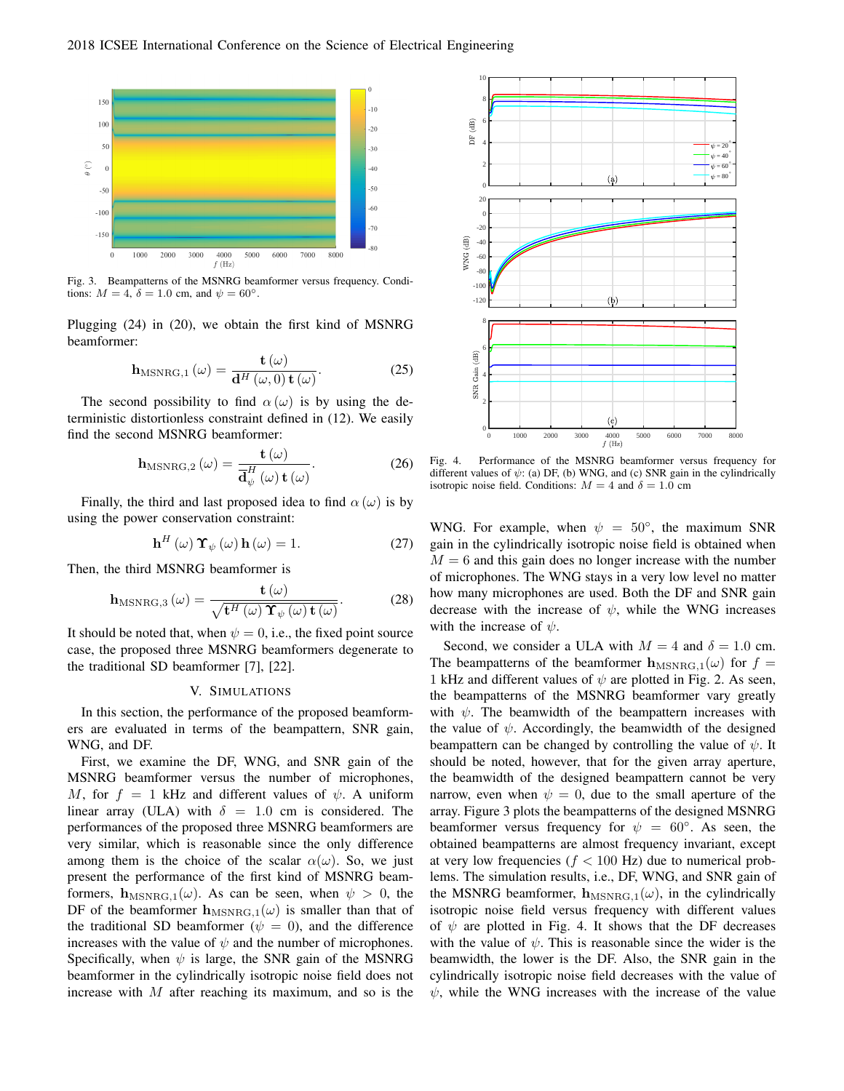

Fig. 3. Beampatterns of the MSNRG beamformer versus frequency. Conditions:  $M = 4$ ,  $\delta = 1.0$  cm, and  $\psi = 60^\circ$ .

Plugging (24) in (20), we obtain the first kind of MSNRG beamformer:

$$
\mathbf{h}_{\text{MSNRG},1}(\omega) = \frac{\mathbf{t}(\omega)}{\mathbf{d}^H(\omega,0)\,\mathbf{t}(\omega)}.\tag{25}
$$

The second possibility to find  $\alpha(\omega)$  is by using the deterministic distortionless constraint defined in (12). We easily find the second MSNRG beamformer:

$$
\mathbf{h}_{\mathrm{MSNRG},2}\left(\omega\right) = \frac{\mathbf{t}\left(\omega\right)}{\overline{\mathbf{d}}_{\psi}^{H}\left(\omega\right)\mathbf{t}\left(\omega\right)}.\tag{26}
$$

Finally, the third and last proposed idea to find  $\alpha(\omega)$  is by using the power conservation constraint:

$$
\mathbf{h}^{H}(\omega) \, \mathbf{\Upsilon}_{\psi}(\omega) \, \mathbf{h}(\omega) = 1. \tag{27}
$$

Then, the third MSNRG beamformer is

$$
\mathbf{h}_{\mathrm{MSNRG},3}\left(\omega\right) = \frac{\mathbf{t}\left(\omega\right)}{\sqrt{\mathbf{t}^{H}\left(\omega\right)\mathbf{\Upsilon}_{\psi}\left(\omega\right)\mathbf{t}\left(\omega\right)}}.\tag{28}
$$

It should be noted that, when  $\psi = 0$ , i.e., the fixed point source case, the proposed three MSNRG beamformers degenerate to the traditional SD beamformer [7], [22].

# V. SIMULATIONS

In this section, the performance of the proposed beamformers are evaluated in terms of the beampattern, SNR gain, WNG, and DF.

First, we examine the DF, WNG, and SNR gain of the MSNRG beamformer versus the number of microphones, *M*, for  $f = 1$  kHz and different values of  $\psi$ . A uniform linear array (ULA) with  $\delta = 1.0$  cm is considered. The performances of the proposed three MSNRG beamformers are very similar, which is reasonable since the only difference among them is the choice of the scalar  $\alpha(\omega)$ . So, we just present the performance of the first kind of MSNRG beamformers,  $h_{MSNRG,1}(\omega)$ . As can be seen, when  $\psi > 0$ , the DF of the beamformer  $h_{MSNRG,1}(\omega)$  is smaller than that of the traditional SD beamformer ( $\psi = 0$ ), and the difference increases with the value of  $\psi$  and the number of microphones. Specifically, when  $\psi$  is large, the SNR gain of the MSNRG beamformer in the cylindrically isotropic noise field does not increase with *M* after reaching its maximum, and so is the



Fig. 4. Performance of the MSNRG beamformer versus frequency for different values of *ψ*: (a) DF, (b) WNG, and (c) SNR gain in the cylindrically isotropic noise field. Conditions:  $M = 4$  and  $\delta = 1.0$  cm

WNG. For example, when  $\psi = 50^\circ$ , the maximum SNR gain in the cylindrically isotropic noise field is obtained when  $M = 6$  and this gain does no longer increase with the number of microphones. The WNG stays in a very low level no matter how many microphones are used. Both the DF and SNR gain decrease with the increase of  $\psi$ , while the WNG increases with the increase of *ψ*.

Second, we consider a ULA with  $M = 4$  and  $\delta = 1.0$  cm. The beampatterns of the beamformer  $h_{MSNRG,1}(\omega)$  for  $f =$ 1 kHz and different values of  $\psi$  are plotted in Fig. 2. As seen, the beampatterns of the MSNRG beamformer vary greatly with  $\psi$ . The beamwidth of the beampattern increases with the value of  $\psi$ . Accordingly, the beamwidth of the designed beampattern can be changed by controlling the value of *ψ*. It should be noted, however, that for the given array aperture, the beamwidth of the designed beampattern cannot be very narrow, even when  $\psi = 0$ , due to the small aperture of the array. Figure 3 plots the beampatterns of the designed MSNRG beamformer versus frequency for  $\psi = 60^\circ$ . As seen, the obtained beampatterns are almost frequency invariant, except at very low frequencies (*f <* 100 Hz) due to numerical problems. The simulation results, i.e., DF, WNG, and SNR gain of the MSNRG beamformer,  $h_{MSNRG,1}(\omega)$ , in the cylindrically isotropic noise field versus frequency with different values of  $\psi$  are plotted in Fig. 4. It shows that the DF decreases with the value of  $\psi$ . This is reasonable since the wider is the beamwidth, the lower is the DF. Also, the SNR gain in the cylindrically isotropic noise field decreases with the value of  $\psi$ , while the WNG increases with the increase of the value